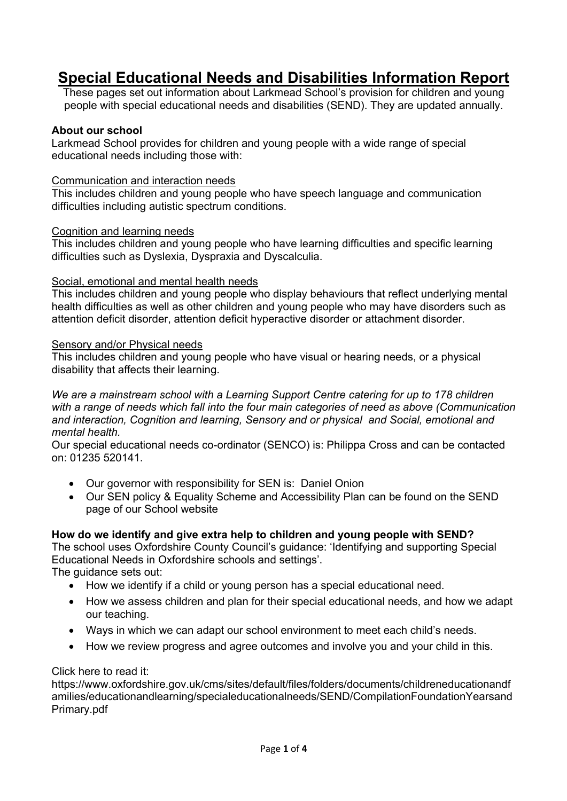# **Special Educational Needs and Disabilities Information Report**

These pages set out information about Larkmead School's provision for children and young people with special educational needs and disabilities (SEND). They are updated annually.

#### **About our school**

Larkmead School provides for children and young people with a wide range of special educational needs including those with:

#### Communication and interaction needs

This includes children and young people who have speech language and communication difficulties including autistic spectrum conditions.

#### Cognition and learning needs

This includes children and young people who have learning difficulties and specific learning difficulties such as Dyslexia, Dyspraxia and Dyscalculia.

#### Social, emotional and mental health needs

This includes children and young people who display behaviours that reflect underlying mental health difficulties as well as other children and young people who may have disorders such as attention deficit disorder, attention deficit hyperactive disorder or attachment disorder.

#### Sensory and/or Physical needs

This includes children and young people who have visual or hearing needs, or a physical disability that affects their learning.

*We are a mainstream school with a Learning Support Centre catering for up to 178 children with a range of needs which fall into the four main categories of need as above (Communication and interaction, Cognition and learning, Sensory and or physical and Social, emotional and mental health.*

Our special educational needs co-ordinator (SENCO) is: Philippa Cross and can be contacted on: 01235 520141.

- Our governor with responsibility for SEN is: Daniel Onion
- Our SEN policy & Equality Scheme and Accessibility Plan can be found on the SEND page of our School website

## **How do we identify and give extra help to children and young people with SEND?**

The school uses Oxfordshire County Council's guidance: 'Identifying and supporting Special Educational Needs in Oxfordshire schools and settings'.

The guidance sets out:

- How we identify if a child or young person has a special educational need.
- How we assess children and plan for their special educational needs, and how we adapt our teaching.
- Ways in which we can adapt our school environment to meet each child's needs.
- How we review progress and agree outcomes and involve you and your child in this.

## Click here to read it:

https://www.oxfordshire.gov.uk/cms/sites/default/files/folders/documents/childreneducationandf amilies/educationandlearning/specialeducationalneeds/SEND/CompilationFoundationYearsand Primary.pdf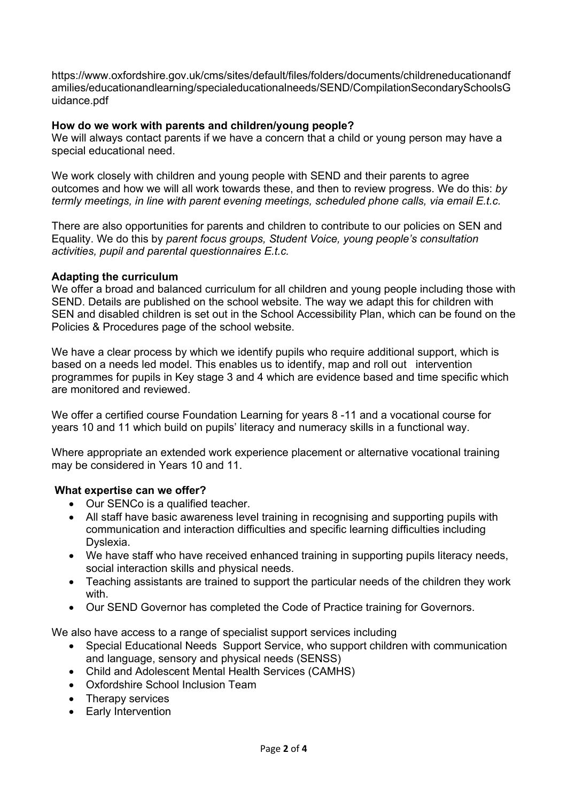https://www.oxfordshire.gov.uk/cms/sites/default/files/folders/documents/childreneducationandf amilies/educationandlearning/specialeducationalneeds/SEND/CompilationSecondarySchoolsG uidance.pdf

## **How do we work with parents and children/young people?**

We will always contact parents if we have a concern that a child or young person may have a special educational need.

We work closely with children and young people with SEND and their parents to agree outcomes and how we will all work towards these, and then to review progress. We do this: *by termly meetings, in line with parent evening meetings, scheduled phone calls, via email E.t.c.*

There are also opportunities for parents and children to contribute to our policies on SEN and Equality. We do this by *parent focus groups, Student Voice, young people's consultation activities, pupil and parental questionnaires E.t.c.*

## **Adapting the curriculum**

We offer a broad and balanced curriculum for all children and young people including those with SEND. Details are published on the school website. The way we adapt this for children with SEN and disabled children is set out in the School Accessibility Plan, which can be found on the Policies & Procedures page of the school website.

We have a clear process by which we identify pupils who require additional support. which is based on a needs led model. This enables us to identify, map and roll out intervention programmes for pupils in Key stage 3 and 4 which are evidence based and time specific which are monitored and reviewed.

We offer a certified course Foundation Learning for years 8 -11 and a vocational course for years 10 and 11 which build on pupils' literacy and numeracy skills in a functional way.

Where appropriate an extended work experience placement or alternative vocational training may be considered in Years 10 and 11.

## **What expertise can we offer?**

- Our SENCo is a qualified teacher.
- All staff have basic awareness level training in recognising and supporting pupils with communication and interaction difficulties and specific learning difficulties including Dyslexia.
- We have staff who have received enhanced training in supporting pupils literacy needs, social interaction skills and physical needs.
- Teaching assistants are trained to support the particular needs of the children they work with.
- Our SEND Governor has completed the Code of Practice training for Governors.

We also have access to a range of specialist support services including

- Special Educational Needs Support Service, who support children with communication and language, sensory and physical needs (SENSS)
- Child and Adolescent Mental Health Services (CAMHS)
- Oxfordshire School Inclusion Team
- Therapy services
- Early Intervention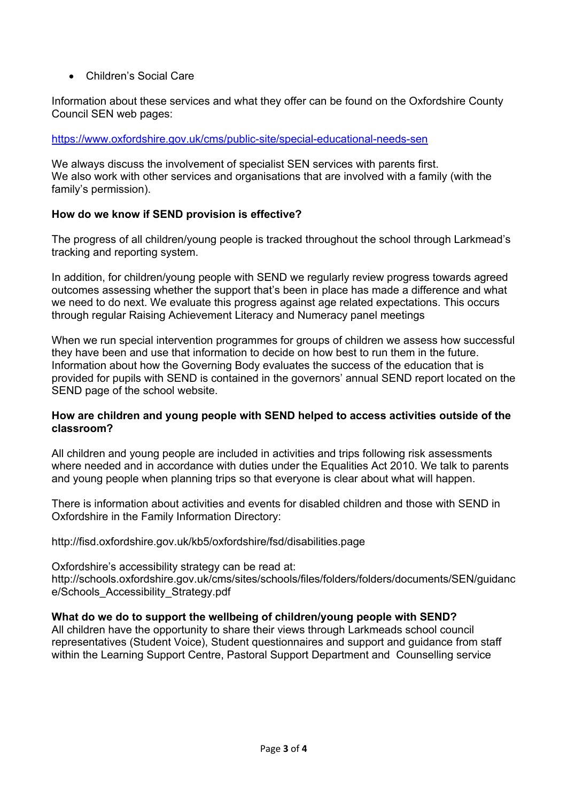## • Children's Social Care

Information about these services and what they offer can be found on the Oxfordshire County Council SEN web pages:

#### https://www.oxfordshire.gov.uk/cms/public-site/special-educational-needs-sen

We always discuss the involvement of specialist SEN services with parents first. We also work with other services and organisations that are involved with a family (with the family's permission).

#### **How do we know if SEND provision is effective?**

The progress of all children/young people is tracked throughout the school through Larkmead's tracking and reporting system.

In addition, for children/young people with SEND we regularly review progress towards agreed outcomes assessing whether the support that's been in place has made a difference and what we need to do next. We evaluate this progress against age related expectations. This occurs through regular Raising Achievement Literacy and Numeracy panel meetings

When we run special intervention programmes for groups of children we assess how successful they have been and use that information to decide on how best to run them in the future. Information about how the Governing Body evaluates the success of the education that is provided for pupils with SEND is contained in the governors' annual SEND report located on the SEND page of the school website.

#### **How are children and young people with SEND helped to access activities outside of the classroom?**

All children and young people are included in activities and trips following risk assessments where needed and in accordance with duties under the Equalities Act 2010. We talk to parents and young people when planning trips so that everyone is clear about what will happen.

There is information about activities and events for disabled children and those with SEND in Oxfordshire in the Family Information Directory:

http://fisd.oxfordshire.gov.uk/kb5/oxfordshire/fsd/disabilities.page

Oxfordshire's accessibility strategy can be read at: http://schools.oxfordshire.gov.uk/cms/sites/schools/files/folders/folders/documents/SEN/guidanc e/Schools\_Accessibility\_Strategy.pdf

## **What do we do to support the wellbeing of children/young people with SEND?**

All children have the opportunity to share their views through Larkmeads school council representatives (Student Voice), Student questionnaires and support and guidance from staff within the Learning Support Centre, Pastoral Support Department and Counselling service